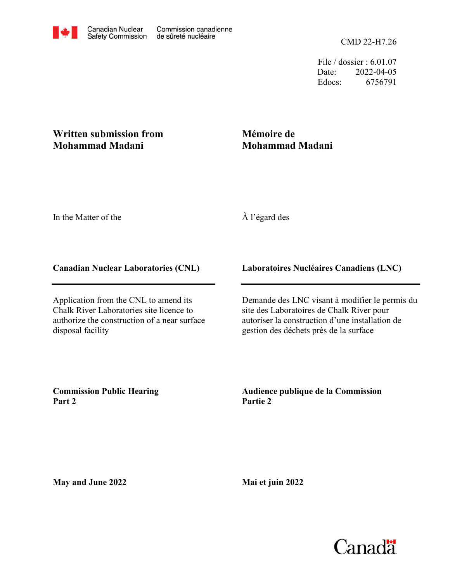File / dossier : 6.01.07 Date: 2022-04-05 Edocs: 6756791

## **Written submission from Mohammad Madani**

# **Mémoire de Mohammad Madani**

In the Matter of the

## À l'égard des

#### **Canadian Nuclear Laboratories (CNL)**

Application from the CNL to amend its Chalk River Laboratories site licence to authorize the construction of a near surface disposal facility

#### **Laboratoires Nucléaires Canadiens (LNC)**

Demande des LNC visant à modifier le permis du site des Laboratoires de Chalk River pour autoriser la construction d'une installation de gestion des déchets près de la surface

**Commission Public Hearing Part 2**

**Audience publique de la Commission Partie 2**

**May and June 2022**

**Mai et juin 2022**